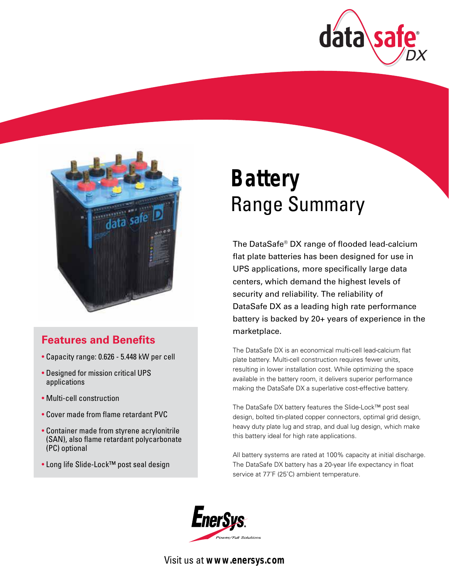



## **Features and Benefits**

- Capacity range: 0.626 5.448 kW per cell
- Designed for mission critical UPS applications
- Multi-cell construction
- Cover made from flame retardant PVC
- Container made from styrene acrylonitrile (SAN), also flame retardant polycarbonate (PC) optional
- Long life Slide-Lock™ post seal design

# **Battery** Range Summary

The DataSafe® DX range of flooded lead-calcium flat plate batteries has been designed for use in UPS applications, more specifically large data centers, which demand the highest levels of security and reliability. The reliability of DataSafe DX as a leading high rate performance battery is backed by 20+ years of experience in the marketplace.

The DataSafe DX is an economical multi-cell lead-calcium flat plate battery. Multi-cell construction requires fewer units, resulting in lower installation cost. While optimizing the space available in the battery room, it delivers superior performance making the DataSafe DX a superlative cost-effective battery.

The DataSafe DX battery features the Slide-Lock™ post seal design, bolted tin-plated copper connectors, optimal grid design, heavy duty plate lug and strap, and dual lug design, which make this battery ideal for high rate applications.

All battery systems are rated at 100% capacity at initial discharge. The DataSafe DX battery has a 20-year life expectancy in float service at 77˚F (25˚C) ambient temperature.



Visit us at **www.enersys.com**